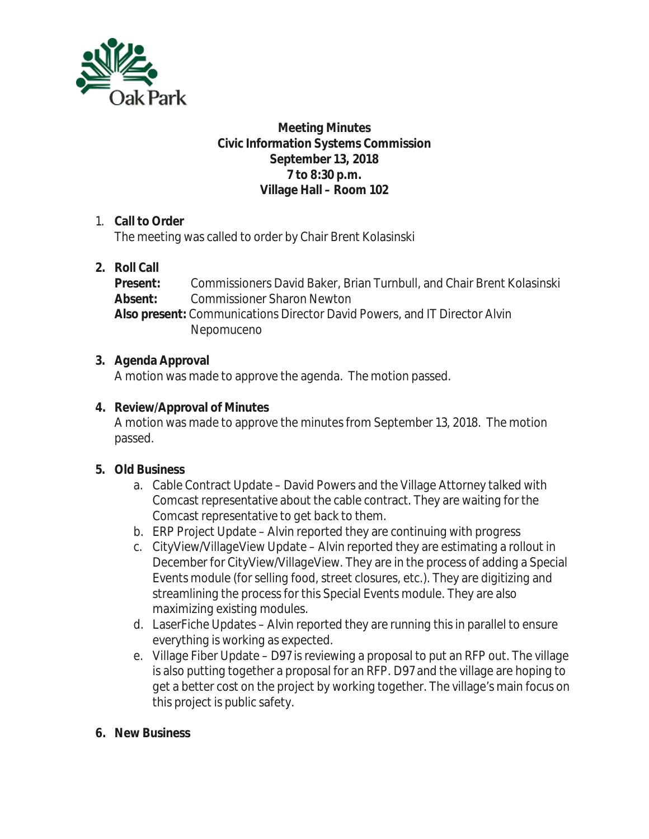

## **Meeting Minutes Civic Information Systems Commission September 13, 2018 7 to 8:30 p.m. Village Hall – Room 102**

## 1. **Call to Order**

The meeting was called to order by Chair Brent Kolasinski

# **2. Roll Call**

**Present:** Commissioners David Baker, Brian Turnbull, and Chair Brent Kolasinski **Absent:** Commissioner Sharon Newton **Also present:** Communications Director David Powers, and IT Director Alvin Nepomuceno

## **3. Agenda Approval**

A motion was made to approve the agenda. The motion passed.

## **4. Review/Approval of Minutes**

A motion was made to approve the minutes from September 13, 2018. The motion passed.

# **5. Old Business**

- a. Cable Contract Update David Powers and the Village Attorney talked with Comcast representative about the cable contract. They are waiting for the Comcast representative to get back to them.
- b. ERP Project Update Alvin reported they are continuing with progress
- c. CityView/VillageView Update Alvin reported they are estimating a rollout in December for CityView/VillageView. They are in the process of adding a Special Events module (for selling food, street closures, etc.). They are digitizing and streamlining the process for this Special Events module. They are also maximizing existing modules.
- d. LaserFiche Updates Alvin reported they are running this in parallel to ensure everything is working as expected.
- e. Village Fiber Update D97 is reviewing a proposal to put an RFP out. The village is also putting together a proposal for an RFP. D97 and the village are hoping to get a better cost on the project by working together. The village's main focus on this project is public safety.

#### **6. New Business**